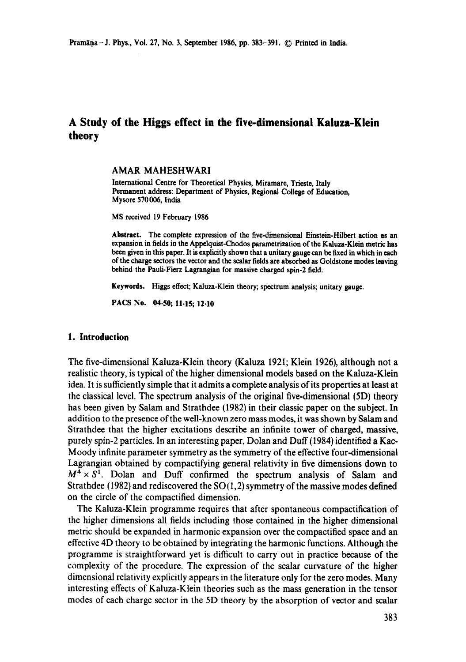# **A Study of the Higgs effect in the five-dimensional Kaluza-Klein theory**

### **AMAR MAHESHWARI**

International Centre for Theoretical Physics, Miramare, Trieste, Italy Permanent address: Department of Physics, Regional College of Education, Mysore 570 006, India

MS received 19 February 1986

**Abstract. The complete** expression of the five-dimensional Einstein-Hilbert action **as an**  expansion in fields in the Appelquist-Chodos parametrization of the Kaluza-Klein metric **has**  been given in this paper. It is explicitly shown that a unitary gauge can be fixed in **which in each**  of the charge sectors the vector and the scalar fields are absorbed as Goldstone modes **leaving**  behind the Pauli-Fierz Lagrangian for massive charged spin-2 field.

**Keywords.** Higgs effect; Kaluza-Klein theory; spectrum **analysis; unitary** gauge.

PACS No. 04.50; 11.15; 12.10

### **1. Introduction**

The five-dimensional Kaluza-Klein theory (Kaluza 1921; Klein 1926), although not a realistic theory, is typical of the higher dimensional models based on the Kaluza-Klein idea. It is sufficiently simple that it admits a complete analysis of its properties at least at the classical level. The spectrum analysis of the original five-dimensional (5D) theory has been given by Salam and Strathdee (1982) in their classic paper on the subject. In addition to the presence of the well-known zero mass modes, it was shown by Salam and Strathdee that the higher excitations describe an infinite tower of charged, massive, purely spin-2 particles. In an interesting paper, Dolan and Duff (1984) identified a Kac-Moody infinite parameter symmetry as the symmetry of the effective four-dimensional Lagrangian obtained by compactifying general relativity in five dimensions down to  $M^4 \times S^1$ . Dolan and Duff confirmed the spectrum analysis of Salam and Strathdee (1982) and rediscovered the  $SO(1,2)$  symmetry of the massive modes defined on the circle of the compactified dimension.

The Kaluza-Klein programme requires that after spontaneous compactification of the higher dimensions all fields including those contained in the higher dimensional metric should be expanded in harmonic expansion over the compactified space and an effective 4D theory to be obtained by integrating the harmonic functions. Although the programme is straightforward yet is difficult to carry out in practice because of the complexity of the procedure. The expression of the scalar curvature of the higher dimensional relativity explicitly appears in the literature only for the zero modes. Many interesting effects of Kaluza-Klein theories such as the mass generation in the tensor modes of each charge sector in the 5D theory by the absorption of vector and scalar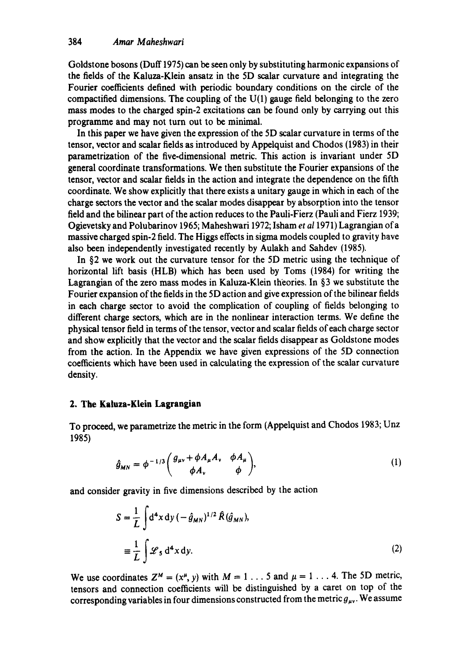Goldstone bosons (Duff 1975) can be seen only by substituting harmonic expansions of the fields of the Kaluza-Klein ansatz in the 5D scalar curvature and integrating the Fourier coefficients defined with periodic boundary conditions on the circle of the compactified dimensions. The coupling of the  $U(1)$  gauge field belonging to the zero mass modes to the charged spin-2 excitations can be found only by carrying out this programme and may not turn out to be minimal.

In this paper we have given the expression of the 5D scalar curvature in terms of the tensor, vector and scalar fields as introduced by Appelquist and Chodos (1983) in their parametrization of the five-dimensional metric. This action is invariant under 5D general coordinate transformations. We then substitute the Fourier expansions of the tensor, vector and scalar fields in the action and integrate the dependence on the fifth coordinate. We show explicitly that there exists a unitary gauge in which in each of the charge sectors the vector and the scalar modes disappear by absorption into the tensor field and the bilinear part of the action reduces to the Pauli-Fierz (Pauli and Fierz 1939; Ogievetsky and Polubarinov 1965; Maheshwari 1972; Isham *et a11971)* Lagrangian of a massive charged spin-2 field. The Higgs effects in sigma models coupled to gravity have also been independently investigated recently by Aulakh and Sahdev (1985).

In §2 we work out the curvature tensor for the 5D metric using the technique of horizontal lift basis (HLB) which has been used by Toms (1984) for writing the Lagrangian of the zero mass modes in Kaluza-Klein theories. In §3 we substitute the Fourier expansion of the fields in the 5D action and give expression of the bilinear fields in each charge sector to avoid the complication of coupling of fields belonging to different charge sectors, which are in the nonlinear interaction terms. We define the physical tensor field in terms of the tensor, vector and scalar fields of each charge sector and show explicitly that the vector and the scalar fields disappear as Goldstone modes from the action. In the Appendix we have given expressions of the 5D connection coefficients which have been used in calculating the expression of the scalar curvature density.

### **2. The Ka|uza-K|ein Lagrangian**

To proceed, we parametrize the metric in the form (Appelquist and Chodos 1983; Unz 1985)

$$
\hat{g}_{MN} = \phi^{-1/3} \begin{pmatrix} g_{\mu\nu} + \phi A_{\mu} A_{\nu} & \phi A_{\mu} \\ \phi A_{\nu} & \phi \end{pmatrix}, \tag{1}
$$

and consider gravity in five dimensions described by the action

$$
S = \frac{1}{L} \int d^4 x \, dy \, (-\hat{g}_{MN})^{1/2} \hat{R}(\hat{g}_{MN}),
$$
  

$$
\equiv \frac{1}{L} \int \mathcal{L}_5 d^4 x \, dy.
$$
 (2)

We use coordinates  $Z^M = (x^{\mu}, y)$  with  $M = 1...5$  and  $\mu = 1...4$ . The 5D metric, tensors and connection coefficients will be distinguished by a caret on top of the corresponding variables in four dimensions constructed from the metric  $g_{\mu\nu}$ . We assume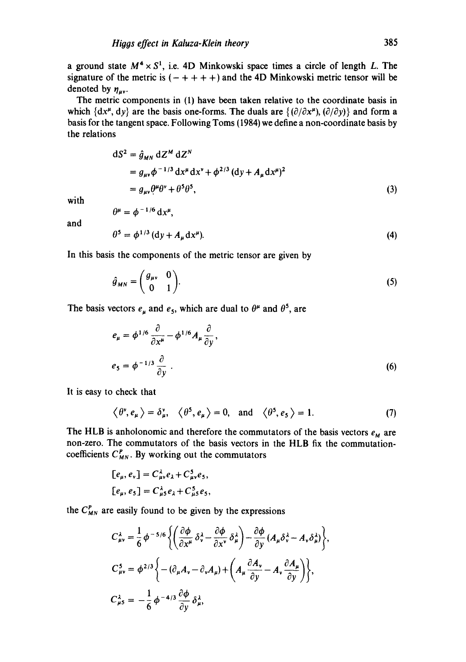a ground state  $M^4 \times S^1$ , i.e. 4D Minkowski space times a circle of length L. The signature of the metric is  $(- + + + +)$  and the 4D Minkowski metric tensor will be denoted by  $\eta_{\mu\nu}$ .

The metric components in (1) have been taken relative to the coordinate basis in which  $\{dx^{\mu}, dy\}$  are the basis one-forms. The duals are  $\{(\partial/\partial x^{\mu}), (\partial/\partial y)\}$  and form a basis for the tangent space. Following Toms (1984) we define a non-coordinate basis by the relations

$$
dS2 = \hat{g}_{MN} dZM dZN
$$
  
=  $g_{\mu\nu} \phi^{-1/3} dx^{\mu} dx^{\nu} + \phi^{2/3} (dy + A_{\mu} dx^{\mu})^2$   
=  $g_{\mu\nu} \theta^{\mu} \theta^{\nu} + \theta^5 \theta^5$ , (3)

with

$$
\theta^{\mu} = \phi^{-1/6} dx^{\mu},
$$

and

$$
\theta^5 = \phi^{1/3} \left( \mathrm{d}y + A_\mu \mathrm{d}x^\mu \right). \tag{4}
$$

In this basis the components of the metric tensor are given by

$$
\hat{g}_{MN} = \begin{pmatrix} g_{\mu\nu} & 0 \\ 0 & 1 \end{pmatrix} . \tag{5}
$$

The basis vectors  $e_{\mu}$  and  $e_5$ , which are dual to  $\theta^{\mu}$  and  $\theta^5$ , are

$$
e_{\mu} = \phi^{1/6} \frac{\partial}{\partial x^{\mu}} - \phi^{1/6} A_{\mu} \frac{\partial}{\partial y},
$$
  

$$
e_{5} = \phi^{-1/3} \frac{\partial}{\partial y}.
$$
 (6)

It is easy to check that

$$
\langle \theta^{\nu}, e_{\mu} \rangle = \delta_{\mu}^{\nu}, \quad \langle \theta^5, e_{\mu} \rangle = 0, \text{ and } \langle \theta^5, e_5 \rangle = 1.
$$
 (7)

The HLB is anholonomic and therefore the commutators of the basis vectors  $e_M$  are non-zero. The commutators of the basis vectors in the HLB fix the commutationcoefficients  $C_{MN}^P$ . By working out the commutators

$$
[e_{\mu}, e_{\nu}] = C_{\mu\nu}^{\lambda} e_{\lambda} + C_{\mu\nu}^{5} e_{5},
$$
  

$$
[e_{\mu}, e_{5}] = C_{\mu 5}^{\lambda} e_{\lambda} + C_{\mu 5}^{5} e_{5},
$$

the  $C_{MN}^P$  are easily found to be given by the expressions

$$
C_{\mu\nu}^{\lambda} = \frac{1}{6} \phi^{-5/6} \left\{ \left( \frac{\partial \phi}{\partial x^{\mu}} \delta_{\nu}^{\lambda} - \frac{\partial \phi}{\partial x^{\nu}} \delta_{\mu}^{\lambda} \right) - \frac{\partial \phi}{\partial y} \left( A_{\mu} \delta_{\nu}^{\lambda} - A_{\nu} \delta_{\mu}^{\lambda} \right) \right\},
$$
  
\n
$$
C_{\mu\nu}^{5} = \phi^{2/3} \left\{ - (\partial_{\mu} A_{\nu} - \partial_{\nu} A_{\mu}) + \left( A_{\mu} \frac{\partial A_{\nu}}{\partial y} - A_{\nu} \frac{\partial A_{\mu}}{\partial y} \right) \right\},
$$
  
\n
$$
C_{\mu 5}^{\lambda} = -\frac{1}{6} \phi^{-4/3} \frac{\partial \phi}{\partial y} \delta_{\mu}^{\lambda},
$$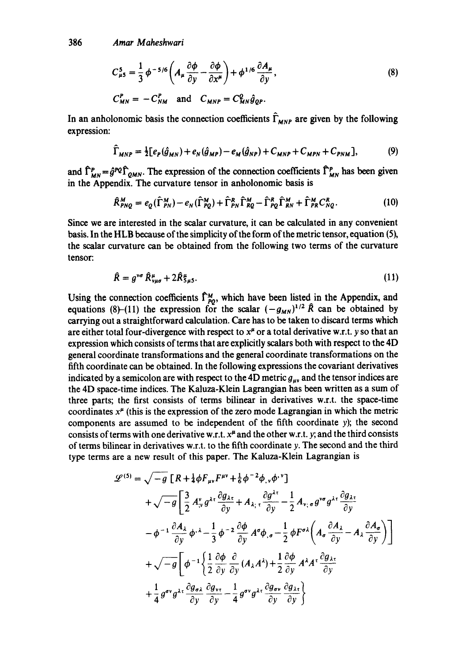$$
C_{\mu 5}^5 = \frac{1}{3} \phi^{-5/6} \left( A_{\mu} \frac{\partial \phi}{\partial y} - \frac{\partial \phi}{\partial x^{\mu}} \right) + \phi^{1/6} \frac{\partial A_{\mu}}{\partial y}, \tag{8}
$$

$$
C_{MN}^P = -C_{NM}^P \quad \text{and} \quad C_{MNP} = C_{MN}^Q \hat{g}_{QP}.
$$

In an anholonomic basis the connection coefficients  $\hat{\Gamma}_{MNP}$  are given by the following expression:

$$
\hat{\Gamma}_{MNP} = \frac{1}{2} [e_P(\hat{g}_{MN}) + e_N(\hat{g}_{MP}) - e_M(\hat{g}_{NP}) + C_{MNP} + C_{MPN} + C_{PNM}],
$$
(9)

and  $\hat{\Gamma}_{MN}^P = \hat{g}^{PQ} \hat{\Gamma}_{QMN}$ . The expression of the connection coefficients  $\hat{\Gamma}_{MN}^P$  has been given in the Appendix. The curvature tensor in anholonomic basis is

$$
\hat{R}_{PNG}^M = e_Q(\hat{\Gamma}_{PN}^M) - e_N(\hat{\Gamma}_{PQ}^M) + \hat{\Gamma}_{PN}^R \hat{\Gamma}_{RQ}^M - \hat{\Gamma}_{PQ}^R \hat{\Gamma}_{RN}^M + \hat{\Gamma}_{PR}^M C_{NQ}^R.
$$
\n(10)

Since we are interested in the scalar curvature, it can be calculated in any convenient basis. In the HLB because of the simplicity of the form of the metric tensor, equation (5), the scalar curvature can be obtained from the following two terms of the curvature tensor:

$$
\hat{R} = g^{\nu\sigma} \hat{R}^{\mu}_{\nu\mu\sigma} + 2\hat{R}^{\mu}_{5\mu 5}.
$$
 (11)

Using the connection coefficients  $\Gamma_{\text{p},\alpha}^M$ , which have been listed in the Appendix, and equations (8)-(11) the expression for the scalar  $(-g_{MN})^{1/2}R$  can be obtained by carrying out a straightforward calculation. Care has to be taken to discard terms which are either total four-divergence with respect to  $x^{\mu}$  or a total derivative w.r.t. y so that an expression which consists of terms that are explicitly scalars both with respect to the 4D general coordinate transformations and the general coordinate transformations on the fifth coordinate can be obtained. In the following expressions the covariant derivatives indicated by a semicolon are with respect to the 4D metric  $g_{uv}$  and the tensor indices are the 4D space-time indices. The Kaluza-Klein Lagrangian has been written as a sum of three parts; the first consists of terms bilinear in derivatives w.r.t, the space-time coordinates  $x^{\mu}$  (this is the expression of the zero mode Lagrangian in which the metric components are assumed to be independent of the fifth coordinate y); the second consists of terms with one derivative w.r.t,  $x^{\mu}$  and the other w.r.t, y; and the third consists of terms bilinear in derivatives w.r.t, to the fifth coordinate y. The second and the third type terms are a new result of this paper. The Kaluza-Klein Lagrangian is

$$
\mathcal{L}^{(5)} = \sqrt{-g} \left[ R + \frac{1}{4} \phi F_{\mu\nu} F^{\mu\nu} + \frac{1}{6} \phi^{-2} \phi_{,\nu} \phi^{\nu} \right] \n+ \sqrt{-g} \left[ \frac{3}{2} A_{,\nu}^{\nu} g^{\lambda \tau} \frac{\partial g_{\lambda \tau}}{\partial y} + A_{\lambda; \tau} \frac{\partial g^{\lambda \tau}}{\partial y} - \frac{1}{2} A_{\nu; \sigma} g^{\nu \sigma} g^{\lambda \tau} \frac{\partial g_{\lambda \tau}}{\partial y} \right] \n- \phi^{-1} \frac{\partial A_{\lambda}}{\partial y} \phi^{\nu \lambda} - \frac{1}{3} \phi^{-2} \frac{\partial \phi}{\partial y} A^{\sigma} \phi_{,\sigma} - \frac{1}{2} \phi F^{\sigma \lambda} \left( A_{\sigma} \frac{\partial A_{\lambda}}{\partial y} - A_{\lambda} \frac{\partial A_{\sigma}}{\partial y} \right) \right] \n+ \sqrt{-g} \left[ \phi^{-1} \left\{ \frac{1}{2} \frac{\partial \phi}{\partial y} \frac{\partial}{\partial y} (A_{\lambda} A^{\lambda}) + \frac{1}{2} \frac{\partial \phi}{\partial y} A^{\lambda} A^{\tau} \frac{\partial g_{\lambda \tau}}{\partial y} \right. \right. \n+ \frac{1}{4} g^{\sigma \nu} g^{\lambda \tau} \frac{\partial g_{\sigma \lambda}}{\partial y} \frac{\partial g_{\nu \tau}}{\partial y} - \frac{1}{4} g^{\sigma \nu} g^{\lambda \tau} \frac{\partial g_{\sigma \nu}}{\partial y} \frac{\partial g_{\lambda \tau}}{\partial y} \right\}
$$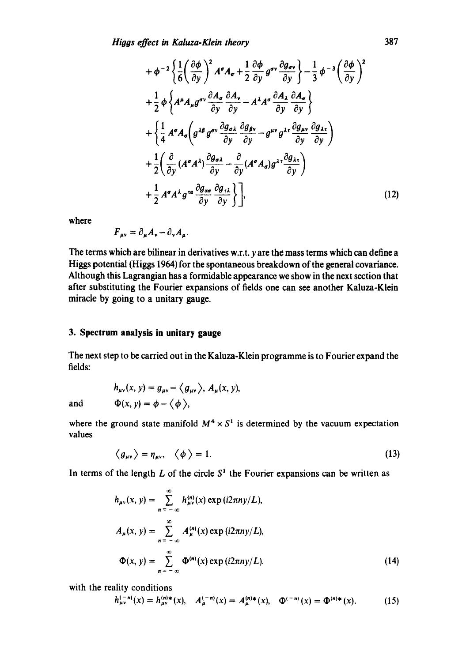$$
+\phi^{-2}\left\{\frac{1}{6}\left(\frac{\partial\phi}{\partial y}\right)^{2}A^{\sigma}A_{\sigma}+\frac{1}{2}\frac{\partial\phi}{\partial y}g^{\sigma\nu}\frac{\partial g_{\sigma\nu}}{\partial y}\right\}-\frac{1}{3}\phi^{-3}\left(\frac{\partial\phi}{\partial y}\right)^{2}
$$
  
+
$$
\frac{1}{2}\phi\left\{A^{\mu}A_{\mu}g^{\sigma\nu}\frac{\partial A_{\sigma}}{\partial y}\frac{\partial A_{\nu}}{\partial y}-A^{\lambda}A^{\sigma}\frac{\partial A_{\lambda}}{\partial y}\frac{\partial A_{\sigma}}{\partial y}\right\}
$$

$$
+\left\{\frac{1}{4}A^{\sigma}A_{\sigma}\left(g^{\lambda\beta}g^{\sigma\nu}\frac{\partial g_{\sigma\lambda}}{\partial y}\frac{\partial g_{\rho\nu}}{\partial y}-g^{\mu\nu}g^{\lambda\tau}\frac{\partial g_{\mu\nu}}{\partial y}\frac{\partial g_{\lambda\tau}}{\partial y}\right)
$$

$$
+\frac{1}{2}\left(\frac{\partial}{\partial y}(A^{\sigma}A^{\lambda})\frac{\partial g_{\sigma\lambda}}{\partial y}-\frac{\partial}{\partial y}(A^{\sigma}A_{\sigma})g^{\lambda\tau}\frac{\partial g_{\lambda\tau}}{\partial y}\right)
$$

$$
+\frac{1}{2}A^{\sigma}A^{\lambda}g^{\tau\alpha}\frac{\partial g_{\alpha\sigma}}{\partial y}\frac{\partial g_{\tau\lambda}}{\partial y}\right], \qquad (12)
$$

where

$$
F_{\mu\nu}=\partial_{\mu}A_{\nu}-\partial_{\nu}A_{\mu}.
$$

The terms which are bilinear in derivatives w.r.t, y are the mass terms which can define a Higgs potential (Higgs 1964) for the spontaneous breakdown of the general covariance. Although this Lagrangian has a formidable appearance we show in the next section that after substituting the Fourier expansions of fields one can see another Kaluza-Klein miracle by going to a unitary gauge.

### **3. Spectrum analysis in unitary gauge**

The next step to be carried out in the Kaluza-Klein programme is to Fourier expand the fields:

and

$$
h_{\mu\nu}(x, y) = g_{\mu\nu} - \langle g_{\mu\nu} \rangle, A_{\mu}(x, y),
$$
  
\n
$$
\Phi(x, y) = \phi - \langle \phi \rangle,
$$

where the ground state manifold  $M^4 \times S^1$  is determined by the vacuum expectation values

$$
\langle g_{\mu\nu} \rangle = \eta_{\mu\nu}, \quad \langle \phi \rangle = 1. \tag{13}
$$

In terms of the length L of the circle  $S<sup>1</sup>$  the Fourier expansions can be written as

$$
h_{\mu\nu}(x, y) = \sum_{n = -\infty}^{\infty} h_{\mu\nu}^{(n)}(x) \exp(i2\pi ny/L),
$$
  
\n
$$
A_{\mu}(x, y) = \sum_{n = -\infty}^{\infty} A_{\mu}^{(n)}(x) \exp(i2\pi ny/L),
$$
  
\n
$$
\Phi(x, y) = \sum_{n = -\infty}^{\infty} \Phi^{(n)}(x) \exp(i2\pi ny/L).
$$
 (14)

with the reality conditions

$$
h_{\mu\nu}^{(-n)}(x) = h_{\mu\nu}^{(n)*}(x), \quad A_{\mu}^{(-n)}(x) = A_{\mu}^{(n)*}(x), \quad \Phi^{(-n)}(x) = \Phi^{(n)*}(x). \tag{15}
$$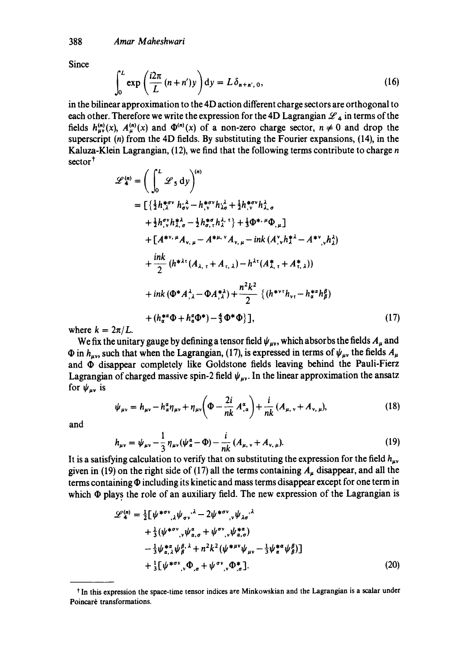**Since** 

$$
\int_0^L \exp\left(\frac{i2\pi}{L}\left(n+n'\right)y\right) dy = L\delta_{n+n',0},\tag{16}
$$

in the bilinear approximation to the 4D action different charge sectors are orthogonal to each other. Therefore we write the expression for the 4D Lagrangian  $\mathcal{L}_4$  in terms of the fields  $h_{\mu\nu}^{(n)}(x)$ ,  $A_{\mu}^{(n)}(x)$  and  $\Phi^{(n)}(x)$  of a non-zero charge sector,  $n \neq 0$  and drop the superscript  $(n)$  from the 4D fields. By substituting the Fourier expansions,  $(14)$ , in the Kaluza-Klein Lagrangian, (12), we find that the following terms contribute to charge n sector<sup>†</sup>

$$
\mathcal{L}_{4}^{(n)} = \left( \int_{0}^{L} \mathcal{L}_{5} dy \right)^{(n)}
$$
\n
$$
= \left[ \left\{ \frac{1}{2} h_{\lambda}^{* \sigma \nu} h_{\sigma \nu}^{\lambda} - h_{\nu}^{* \sigma \nu} h_{\lambda \sigma}^{\lambda} + \frac{1}{2} h_{\nu}^{* \sigma \nu} h_{\lambda, \sigma}^{\lambda} + \frac{1}{2} h_{\nu}^{* \sigma \nu} h_{\lambda, \sigma}^{\lambda} + \frac{1}{2} h_{\sigma \nu}^{* \sigma} h_{\lambda}^{\lambda, \tau} \right] + \frac{1}{3} \Phi^{* \mu} \Phi_{\mu} \right]
$$
\n
$$
+ \left[ A^{* \nu, \mu} A_{\nu, \mu} - A^{* \mu, \nu} A_{\nu, \mu} - ink \left( A_{\nu}^{\nu} h_{\lambda}^{* \lambda} - A^{* \nu} \right) h_{\lambda}^{\lambda} \right]
$$
\n
$$
+ \frac{ink}{2} \left( h^{* \lambda \tau} (A_{\lambda, \tau} + A_{\tau, \lambda}) - h^{\lambda \tau} (A_{\lambda, \tau}^{*} + A_{\tau, \lambda}^{*}) \right)
$$
\n
$$
+ ink \left( \Phi^{*} A_{\lambda}^{\lambda} - \Phi A_{\lambda}^{* \lambda} \right) + \frac{n^{2} k^{2}}{2} \left\{ \left( h^{* \nu \tau} h_{\nu \tau} - h_{\sigma}^{* \alpha} h_{\beta}^{\beta} \right) + \left( h_{\sigma}^{* \alpha} \Phi + h_{\alpha}^{\alpha} \Phi^{*} \right) - \frac{4}{3} \Phi^{*} \Phi \right\} \right], \tag{17}
$$

where  $k = 2\pi/L$ .

We fix the unitary gauge by defining a tensor field  $\psi_{\mu\nu}$ , which absorbs the fields  $A_{\mu}$  and  $\Phi$  in  $h_{\mu\nu}$ , such that when the Lagrangian, (17), is expressed in terms of  $\psi_{\mu\nu}$  the fields  $A_{\mu}$ and  $\Phi$  disappear completely like Goldstone fields leaving behind the Pauli-Fierz Lagrangian of charged massive spin-2 field  $\psi_{\mu\nu}$ . In the linear approximation the ansatz for  $\psi_{\mu\nu}$  is

$$
\psi_{\mu\nu} = h_{\mu\nu} - h_{\alpha}^a \eta_{\mu\nu} + \eta_{\mu\nu} \left( \Phi - \frac{2i}{nk} A_{,\alpha}^a \right) + \frac{i}{nk} (A_{\mu,\nu} + A_{\nu,\mu}), \tag{18}
$$

and

$$
h_{\mu\nu} = \psi_{\mu\nu} - \frac{1}{3} \eta_{\mu\nu} (\psi_a^a - \Phi) - \frac{i}{nk} (A_{\mu,\nu} + A_{\nu,\mu}).
$$
 (19)

It is a satisfying calculation to verify that on substituting the expression for the field  $h_{\mu\nu}$ given in (19) on the right side of (17) all the terms containing  $A<sub>u</sub>$  disappear, and all the terms containing  $\Phi$  including its kinetic and mass terms disappear except for one term in which  $\Phi$  plays the role of an auxiliary field. The new expression of the Lagrangian is

$$
\mathcal{L}_{4}^{(n)} = \frac{1}{2} \left[ \psi^{*\sigma \nu}{}_{,\lambda} \psi_{\sigma \nu}{}^{\lambda} - 2 \psi^{*\sigma \nu}{}_{,\nu} \psi_{\lambda \sigma}{}^{\lambda} + \frac{1}{3} (\psi^{*\sigma \nu}{}_{,\nu} \psi_{\alpha,\sigma}{}^{\alpha} + \psi^{\sigma \nu}{}_{,\nu} \psi_{\alpha,\sigma}^{*\alpha}) - \frac{1}{3} \psi_{\alpha,\lambda}^{*\alpha} \psi_{\beta}^{\beta}{}^{\lambda} + n^2 k^2 (\psi^{*\mu \nu} \psi_{\mu \nu} - \frac{1}{3} \psi_{\alpha}^{*\alpha} \psi_{\beta}^{\beta}) \right] + \frac{1}{3} \left[ \psi^{*\sigma \nu}{}_{,\nu} \Phi_{,\sigma}{}^{\mu} + \psi^{\sigma \nu}{}_{,\nu} \Phi_{,\sigma}^{*\mu} \right]. \tag{20}
$$

t In this expression the space-time tensor indices are Minkowskian and the Lagrangian is a scalar under Poincaré transformations.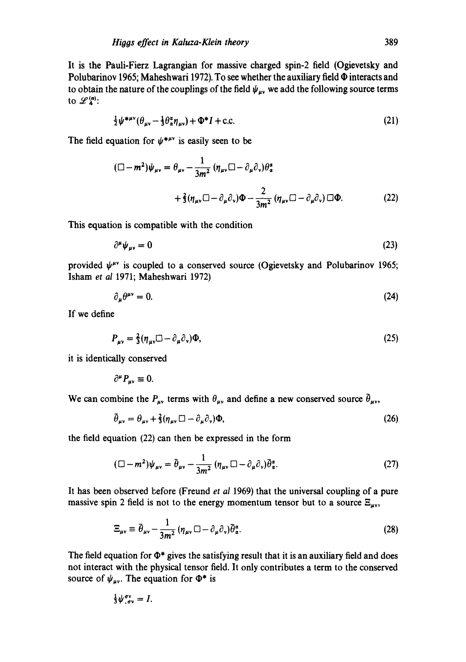It is the Pauli-Fierz Lagrangian for massive charged spin-2 field (Ogievetsky and Polubarinov 1965; Maheshwari 1972). To see whether the auxiliary field  $\Phi$  interacts and to obtain the nature of the couplings of the field  $\psi_{uv}$  we add the following source terms to  $\mathscr{L}_4^{(n)}$ :

$$
\frac{1}{2}\psi^{*\mu\nu}(\theta_{\mu\nu} - \frac{1}{3}\theta_{\alpha}^{\alpha}\eta_{\mu\nu}) + \Phi^*I + \text{c.c.}
$$
\n(21)

The field equation for  $\psi^{*\mu\nu}$  is easily seen to be

$$
(\Box - m^2)\psi_{\mu\nu} = \theta_{\mu\nu} - \frac{1}{3m^2} (\eta_{\mu\nu}\Box - \partial_{\mu}\partial_{\nu})\theta_{\alpha}^{\alpha}
$$
  
+  $\frac{2}{3}(\eta_{\mu\nu}\Box - \partial_{\mu}\partial_{\nu})\Phi - \frac{2}{3m^2} (\eta_{\mu\nu}\Box - \partial_{\mu}\partial_{\nu})\Box\Phi.$  (22)

This equation is compatible with the condition

$$
\partial^{\mu} \psi_{\mu\nu} = 0 \tag{23}
$$

provided  $\psi^{\mu\nu}$  is coupled to a conserved source (Ogievetsky and Polubarinov 1965; Isham *et al* 1971; Maheshwari 1972)

$$
\partial_{\mu}\theta^{\mu\nu} = 0. \tag{24}
$$

If we define

$$
P_{\mu\nu} = \frac{2}{3} (\eta_{\mu\nu} \Box - \partial_{\mu} \partial_{\nu}) \Phi,
$$
\n(25)

it is identically conserved

 $\partial^{\mu}P_{\mu\nu}\equiv 0.$ 

We can combine the  $P_{\mu\nu}$  terms with  $\theta_{\mu\nu}$  and define a new conserved source  $\bar{\theta}_{\mu\nu}$ ,

$$
\bar{\theta}_{\mu\nu} = \theta_{\mu\nu} + \frac{2}{3} (\eta_{\mu\nu} \Box - \partial_{\mu} \partial_{\nu}) \Phi,
$$
\n(26)

the field equation (22) can then be expressed in the form

$$
(\Box - m^2)\psi_{\mu\nu} = \bar{\theta}_{\mu\nu} - \frac{1}{3m^2} \left( \eta_{\mu\nu} \Box - \partial_{\mu} \partial_{\nu} \right) \bar{\theta}_{\alpha}^{\alpha}.
$$
 (27)

It has been observed before (Freund *et al* 1969) that the universal coupling of a pure massive spin 2 field is not to the energy momentum tensor but to a source  $\Xi_{\mu\nu}$ ,

$$
\Xi_{\mu\nu} \equiv \bar{\theta}_{\mu\nu} - \frac{1}{3m^2} \left( \eta_{\mu\nu} \, \Box - \partial_{\mu} \partial_{\nu} \right) \bar{\theta}_{\alpha}^{\alpha}.
$$

The field equation for  $\Phi^*$  gives the satisfying result that it is an auxiliary field and does not interact with the physical tensor field. It only contributes a term to the conserved source of  $\psi_{\mu\nu}$ . The equation for  $\Phi^*$  is

$$
\tfrac{1}{3}\psi_{,\sigma\nu}^{\sigma\nu}=I.
$$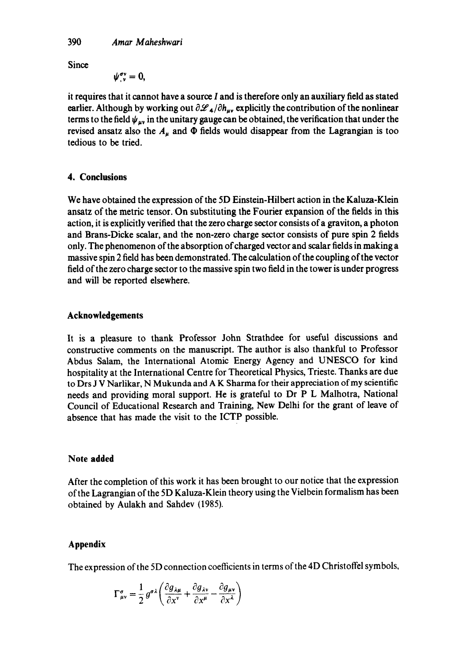**Since** 

$$
\psi^{\sigma\nu}_{,\nu}=0,
$$

it requires that it cannot have a source I and is therefore only an auxiliary field as stated earlier. Although by working out  $\partial \mathcal{L}_4/\partial h_{\mu\nu}$  explicitly the contribution of the nonlinear terms to the field  $\psi_{\mu\nu}$  in the unitary gauge can be obtained, the verification that under the revised ansatz also the  $A_{\mu}$  and  $\Phi$  fields would disappear from the Lagrangian is too tedious to be tried.

# **4. Conclusions**

We have obtained the expression of the 5D Einstein-Hilbert action in the Kaluza-Klein ansatz of the metric tensor. On substituting the Fourier expansion of the fields in this action, it is explicitly verified that the zero charge sector consists ofa graviton, a photon and Brans-Dicke scalar, and the non-zero charge sector consists of pure spin 2 fields only. The phenomenon of the absorption of charged vector and scalar fields in making a massive spin 2 field has been demonstrated. The calculation of the coupling of the vector field of the zero charge sector to the massive spin two field in the tower is under progress and will be reported elsewhere.

# **Acknowledgements**

It is a pleasure to thank Professor John Strathdee for useful discussions and constructive comments on the manuscript. The author is also thankful to Professor Abdus Salam, the International Atomic Energy Agency and UNESCO for kind hospitality at the International Centre for Theoretical Physics, Trieste. Thanks are due to Drs J V Narlikar, N Mukunda and A K Sharma for their appreciation of my scientific needs and providing moral support. He is grateful to Dr P L Malhotra, National Council of Educational Research and Training, New Delhi for the grant of leave of absence that has made the visit to the ICTP possible.

# **Note added**

After the completion of this work it has been brought to our notice that the expression of the Lagrangian of the 5D Kaluza-Klein theory using the Vielbein formalism has been obtained by Aulakh and Sahdev (1985).

# **Appendix**

The expression of the 5D connection coefficients in terms of the 4D Christoffel symbols,

$$
\Gamma^{\sigma}_{\mu\nu} = \frac{1}{2} g^{\sigma\lambda} \left( \frac{\partial g_{\lambda\mu}}{\partial x^{\nu}} + \frac{\partial g_{\lambda\nu}}{\partial x^{\mu}} - \frac{\partial g_{\mu\nu}}{\partial x^{\lambda}} \right)
$$